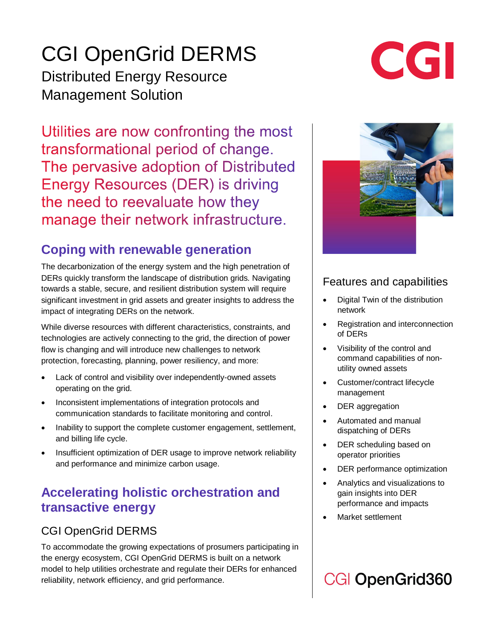## CGI OpenGrid DERMS

Distributed Energy Resource Management Solution

Utilities are now confronting the most transformational period of change. The pervasive adoption of Distributed **Energy Resources (DER) is driving** the need to reevaluate how they manage their network infrastructure.

## **Coping with renewable generation**

The decarbonization of the energy system and the high penetration of DERs quickly transform the landscape of distribution grids. Navigating towards a stable, secure, and resilient distribution system will require significant investment in grid assets and greater insights to address the impact of integrating DERs on the network.

While diverse resources with different characteristics, constraints, and technologies are actively connecting to the grid, the direction of power flow is changing and will introduce new challenges to network protection, forecasting, planning, power resiliency, and more:

- Lack of control and visibility over independently-owned assets operating on the grid.
- Inconsistent implementations of integration protocols and communication standards to facilitate monitoring and control.
- Inability to support the complete customer engagement, settlement, and billing life cycle.
- Insufficient optimization of DER usage to improve network reliability and performance and minimize carbon usage.

## **Accelerating holistic orchestration and transactive energy**

### CGI OpenGrid DERMS

To accommodate the growing expectations of prosumers participating in the energy ecosystem, CGI OpenGrid DERMS is built on a network model to help utilities orchestrate and regulate their DERs for enhanced reliability, network efficiency, and grid performance.

#### Features and capabilities

- Digital Twin of the distribution network
- Registration and interconnection of DERs
- Visibility of the control and command capabilities of nonutility owned assets
- Customer/contract lifecycle management
- DER aggregation
- Automated and manual dispatching of DERs
- DER scheduling based on operator priorities
- DER performance optimization
- x Analytics and visualizations to gain insights into DER performance and impacts
- Market settlement

## **CGI OpenGrid360**

# CGI